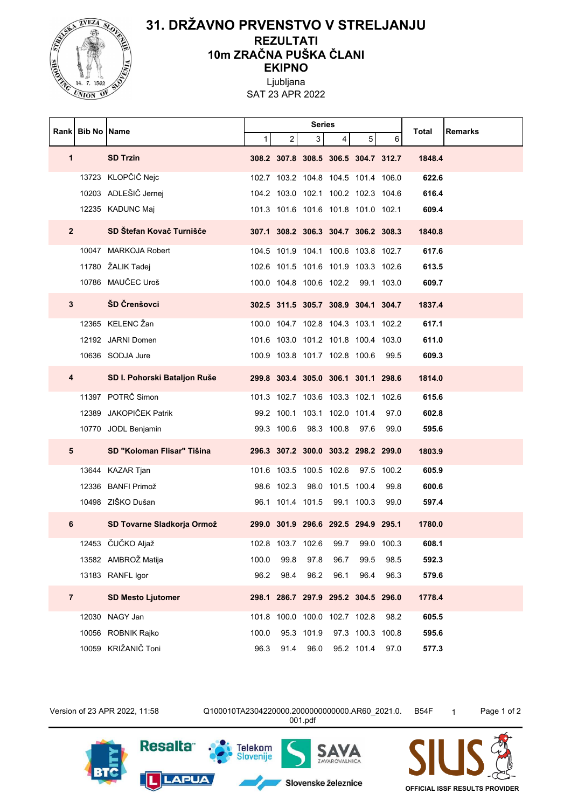

## **31. DRŽAVNO PRVENSTVO V STRELJANJU REZULTATI 10m ZRAČNA PUŠKA ČLANI EKIPNO**

Ljubljana SAT 23 APR 2022

|  | Rankl          | <b>Bib No   Name</b> |                              | <b>Series</b> |                                     |            |            |                  |            | <b>Remarks</b><br>Total |
|--|----------------|----------------------|------------------------------|---------------|-------------------------------------|------------|------------|------------------|------------|-------------------------|
|  |                |                      |                              | $\mathbf{1}$  | 2                                   | 3          | 4          | 5 <sup>5</sup>   | 6          |                         |
|  | $\mathbf{1}$   |                      | <b>SD Trzin</b>              |               | 308.2 307.8 308.5 306.5 304.7 312.7 |            |            |                  |            | 1848.4                  |
|  |                |                      | 13723 KLOPČIČ Nejc           |               | 102.7 103.2 104.8 104.5 101.4 106.0 |            |            |                  |            | 622.6                   |
|  |                |                      | 10203 ADLEŠIČ Jernej         |               | 104.2 103.0 102.1 100.2 102.3 104.6 |            |            |                  |            | 616.4                   |
|  |                |                      | 12235 KADUNC Maj             |               | 101.3 101.6 101.6 101.8 101.0 102.1 |            |            |                  |            | 609.4                   |
|  | 2 <sup>2</sup> |                      | SD Štefan Kovač Turnišče     |               | 307.1 308.2 306.3 304.7 306.2 308.3 |            |            |                  |            | 1840.8                  |
|  |                |                      | 10047 MARKOJA Robert         |               | 104.5 101.9 104.1 100.6 103.8 102.7 |            |            |                  |            | 617.6                   |
|  |                |                      | 11780 ŽALIK Tadej            |               | 102.6 101.5 101.6 101.9 103.3 102.6 |            |            |                  |            | 613.5                   |
|  |                |                      | 10786 MAUČEC Uroš            |               | 100.0 104.8 100.6 102.2             |            |            |                  | 99.1 103.0 | 609.7                   |
|  | 3              |                      | ŠD Črenšovci                 |               | 302.5 311.5 305.7 308.9 304.1 304.7 |            |            |                  |            | 1837.4                  |
|  |                |                      | 12365 KELENC Žan             |               | 100.0 104.7 102.8 104.3 103.1 102.2 |            |            |                  |            | 617.1                   |
|  |                |                      | 12192 JARNI Domen            |               | 101.6 103.0 101.2 101.8 100.4 103.0 |            |            |                  |            | 611.0                   |
|  |                |                      | 10636 SODJA Jure             |               | 100.9 103.8 101.7 102.8 100.6 99.5  |            |            |                  |            | 609.3                   |
|  | 4              |                      | SD I. Pohorski Bataljon Ruše |               | 299.8 303.4 305.0 306.1 301.1 298.6 |            |            |                  |            | 1814.0                  |
|  |                |                      | 11397 POTRČ Simon            |               | 101.3 102.7 103.6 103.3 102.1 102.6 |            |            |                  |            | 615.6                   |
|  |                |                      | 12389 JAKOPIČEK Patrik       |               | 99.2 100.1 103.1 102.0 101.4        |            |            |                  | 97.0       | 602.8                   |
|  |                |                      | 10770 JODL Benjamin          |               | 99.3 100.6                          |            | 98.3 100.8 | 97.6             | 99.0       | 595.6                   |
|  | 5              |                      | SD "Koloman Flisar" Tišina   |               | 296.3 307.2 300.0 303.2 298.2 299.0 |            |            |                  |            | 1803.9                  |
|  |                |                      | 13644 KAZAR Tjan             |               | 101.6 103.5 100.5 102.6             |            |            |                  | 97.5 100.2 | 605.9                   |
|  |                |                      | 12336 BANFI Primož           |               | 98.6 102.3                          |            |            | 98.0 101.5 100.4 | 99.8       | 600.6                   |
|  |                |                      | 10498 ZIŠKO Dušan            |               | 96.1 101.4 101.5 99.1 100.3         |            |            |                  | 99.0       | 597.4                   |
|  | 6              |                      | SD Tovarne Sladkorja Ormož   |               | 299.0 301.9 296.6 292.5 294.9 295.1 |            |            |                  |            | 1780.0                  |
|  |                |                      | 12453 ČUČKO Aljaž            |               | 102.8 103.7 102.6                   |            | 99.7       |                  | 99.0 100.3 | 608.1                   |
|  |                |                      | 13582 AMBROŽ Matija          | 100.0         | 99.8                                | 97.8       | 96.7       | 99.5             | 98.5       | 592.3                   |
|  |                |                      | 13183 RANFL Igor             | 96.2          | 98.4                                | 96.2       | 96.1       | 96.4             | 96.3       | 579.6                   |
|  | $\overline{7}$ |                      | <b>SD Mesto Ljutomer</b>     |               | 298.1 286.7 297.9 295.2 304.5 296.0 |            |            |                  |            | 1778.4                  |
|  |                |                      | 12030 NAGY Jan               |               | 101.8 100.0 100.0 102.7 102.8       |            |            |                  | 98.2       | 605.5                   |
|  |                |                      | 10056 ROBNIK Rajko           | 100.0         |                                     | 95.3 101.9 |            | 97.3 100.3 100.8 |            | 595.6                   |
|  |                |                      | 10059 KRIŽANIČ Toni          | 96.3          | 91.4                                | 96.0       |            | 95.2 101.4 97.0  |            | 577.3                   |

Version of 23 APR 2022, 11:58 Q100010TA2304220000.2000000000000.AR60\_2021.0. 001.pdf